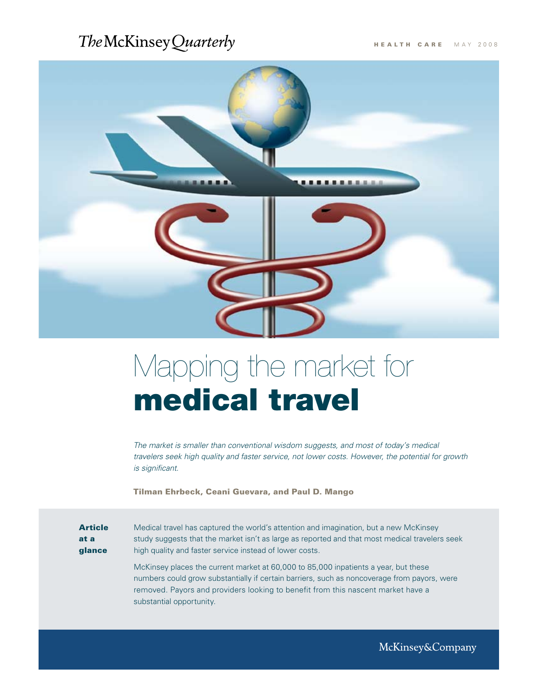# The McKinsey Quarterly



# Mapping the market for medical travel

*The market is smaller than conventional wisdom suggests, and most of today's medical travelers seek high quality and faster service, not lower costs. However, the potential for growth is significant.*

Tilman Ehrbeck, Ceani Guevara, and Paul D. Mango

Article at a glance

Medical travel has captured the world's attention and imagination, but a new McKinsey study suggests that the market isn't as large as reported and that most medical travelers seek high quality and faster service instead of lower costs.

McKinsey places the current market at 60,000 to 85,000 inpatients a year, but these numbers could grow substantially if certain barriers, such as noncoverage from payors, were removed. Payors and providers looking to benefit from this nascent market have a substantial opportunity.

McKinsey&Company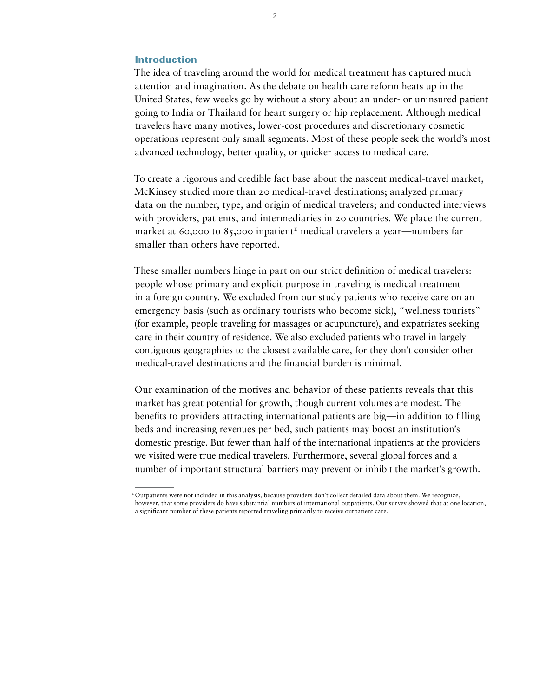# Introduction

The idea of traveling around the world for medical treatment has captured much attention and imagination. As the debate on health care reform heats up in the United States, few weeks go by without a story about an under- or uninsured patient going to India or Thailand for heart surgery or hip replacement. Although medical travelers have many motives, lower-cost procedures and discretionary cosmetic operations represent only small segments. Most of these people seek the world's most advanced technology, better quality, or quicker access to medical care.

To create a rigorous and credible fact base about the nascent medical-travel market, McKinsey studied more than 20 medical-travel destinations; analyzed primary data on the number, type, and origin of medical travelers; and conducted interviews with providers, patients, and intermediaries in 20 countries. We place the current market at 60,000 to 85,000 inpatient<sup>1</sup> medical travelers a year—numbers far smaller than others have reported.

These smaller numbers hinge in part on our strict definition of medical travelers: people whose primary and explicit purpose in traveling is medical treatment in a foreign country. We excluded from our study patients who receive care on an emergency basis (such as ordinary tourists who become sick), "wellness tourists" (for example, people traveling for massages or acupuncture), and expatriates seeking care in their country of residence. We also excluded patients who travel in largely contiguous geographies to the closest available care, for they don't consider other medical-travel destinations and the financial burden is minimal.

Our examination of the motives and behavior of these patients reveals that this market has great potential for growth, though current volumes are modest. The benefits to providers attracting international patients are big—in addition to filling beds and increasing revenues per bed, such patients may boost an institution's domestic prestige. But fewer than half of the international inpatients at the providers we visited were true medical travelers. Furthermore, several global forces and a number of important structural barriers may prevent or inhibit the market's growth.

<sup>&</sup>lt;sup>1</sup>Outpatients were not included in this analysis, because providers don't collect detailed data about them. We recognize, however, that some providers do have substantial numbers of international outpatients. Our survey showed that at one location, a significant number of these patients reported traveling primarily to receive outpatient care.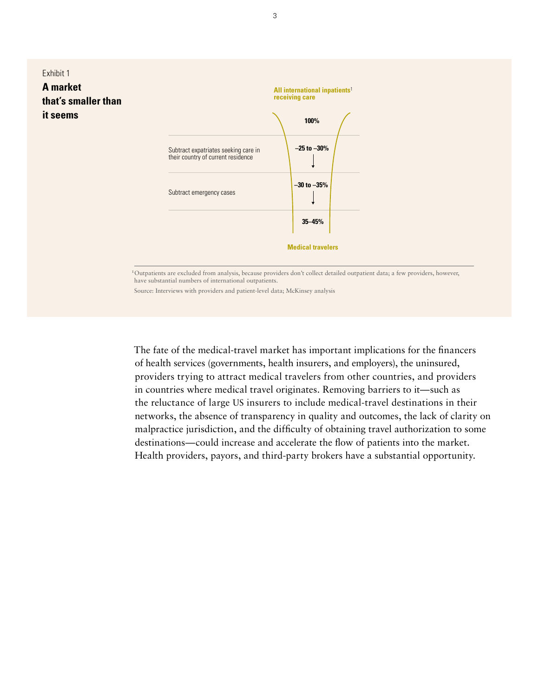

1Outpatients are excluded from analysis, because providers don't collect detailed outpatient data; a few providers, however, have substantial numbers of international outpatients.

Source: Interviews with providers and patient-level data; McKinsey analysis

The fate of the medical-travel market has important implications for the financers of health services (governments, health insurers, and employers), the uninsured, providers trying to attract medical travelers from other countries, and providers in countries where medical travel originates. Removing barriers to it—such as the reluctance of large US insurers to include medical-travel destinations in their networks, the absence of transparency in quality and outcomes, the lack of clarity on malpractice jurisdiction, and the difficulty of obtaining travel authorization to some destinations—could increase and accelerate the flow of patients into the market. Health providers, payors, and third-party brokers have a substantial opportunity.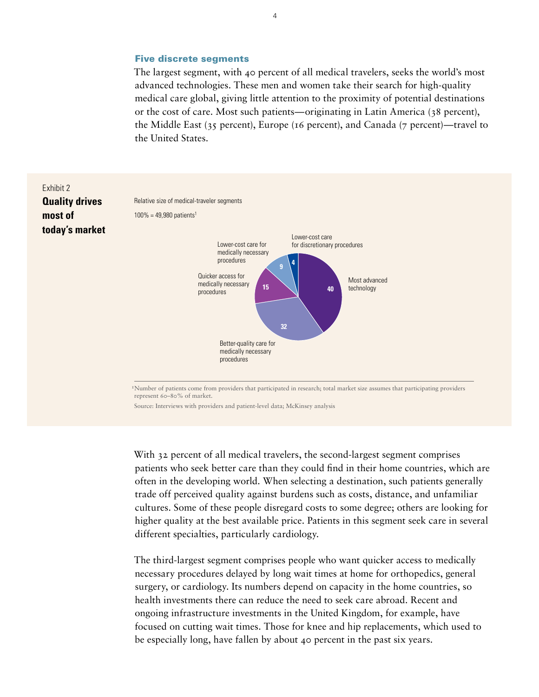#### Five discrete segments

The largest segment, with 40 percent of all medical travelers, seeks the world's most advanced technologies. These men and women take their search for high-quality medical care global, giving little attention to the proximity of potential destinations or the cost of care. Most such patients—originating in Latin America (38 percent), the Middle East (35 percent), Europe (16 percent), and Canada (7 percent)—travel to the United States.



1Number of patients come from providers that participated in research; total market size assumes that participating providers represent 60–80% of market.

Source: Interviews with providers and patient-level data; McKinsey analysis

With 32 percent of all medical travelers, the second-largest segment comprises patients who seek better care than they could find in their home countries, which are often in the developing world. When selecting a destination, such patients generally trade off perceived quality against burdens such as costs, distance, and unfamiliar cultures. Some of these people disregard costs to some degree; others are looking for higher quality at the best available price. Patients in this segment seek care in several different specialties, particularly cardiology.

The third-largest segment comprises people who want quicker access to medically necessary procedures delayed by long wait times at home for orthopedics, general surgery, or cardiology. Its numbers depend on capacity in the home countries, so health investments there can reduce the need to seek care abroad. Recent and ongoing infrastructure investments in the United Kingdom, for example, have focused on cutting wait times. Those for knee and hip replacements, which used to be especially long, have fallen by about 40 percent in the past six years.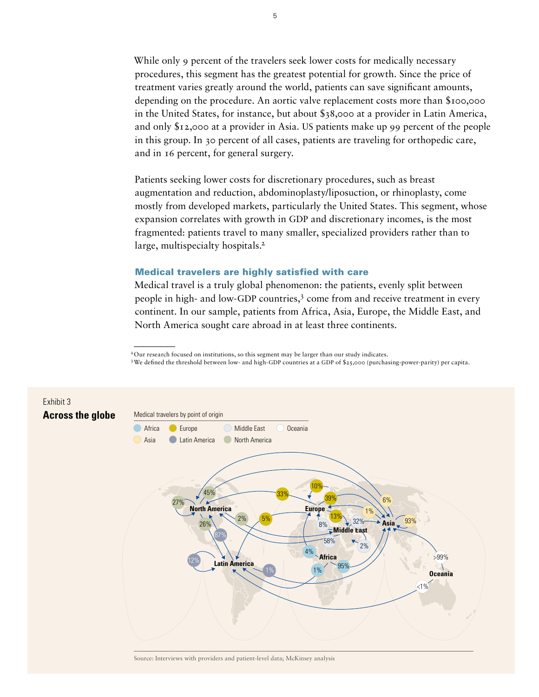While only 9 percent of the travelers seek lower costs for medically necessary procedures, this segment has the greatest potential for growth. Since the price of treatment varies greatly around the world, patients can save significant amounts, depending on the procedure. An aortic valve replacement costs more than \$100,000 in the United States, for instance, but about \$38,000 at a provider in Latin America, and only \$12,000 at a provider in Asia. US patients make up 99 percent of the people in this group. In 30 percent of all cases, patients are traveling for orthopedic care, and in 16 percent, for general surgery.

Patients seeking lower costs for discretionary procedures, such as breast augmentation and reduction, abdominoplasty/liposuction, or rhinoplasty, come mostly from developed markets, particularly the United States. This segment, whose expansion correlates with growth in GDP and discretionary incomes, is the most fragmented: patients travel to many smaller, specialized providers rather than to large, multispecialty hospitals.<sup>2</sup>

# Medical travelers are highly satisfied with care

Medical travel is a truly global phenomenon: the patients, evenly split between people in high- and low-GDP countries,<sup>3</sup> come from and receive treatment in every continent. In our sample, patients from Africa, Asia, Europe, the Middle East, and North America sought care abroad in at least three continents.

3 We defined the threshold between low- and high-GDP countries at a GDP of \$25,000 (purchasing-power-parity) per capita.



Source: Interviews with providers and patient-level data; McKinsey analysis

<sup>&</sup>lt;sup>2</sup>Our research focused on institutions, so this segment may be larger than our study indicates.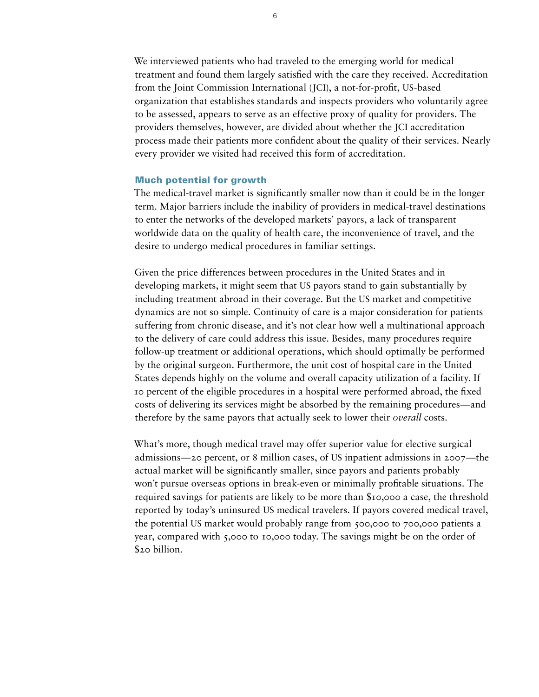We interviewed patients who had traveled to the emerging world for medical treatment and found them largely satisfied with the care they received. Accreditation from the Joint Commission International (JCI), a not-for-profit, US-based organization that establishes standards and inspects providers who voluntarily agree to be assessed, appears to serve as an effective proxy of quality for providers. The providers themselves, however, are divided about whether the JCI accreditation process made their patients more confident about the quality of their services. Nearly every provider we visited had received this form of accreditation.

#### Much potential for growth

The medical-travel market is significantly smaller now than it could be in the longer term. Major barriers include the inability of providers in medical-travel destinations to enter the networks of the developed markets' payors, a lack of transparent worldwide data on the quality of health care, the inconvenience of travel, and the desire to undergo medical procedures in familiar settings.

Given the price differences between procedures in the United States and in developing markets, it might seem that US payors stand to gain substantially by including treatment abroad in their coverage. But the US market and competitive dynamics are not so simple. Continuity of care is a major consideration for patients suffering from chronic disease, and it's not clear how well a multinational approach to the delivery of care could address this issue. Besides, many procedures require follow-up treatment or additional operations, which should optimally be performed by the original surgeon. Furthermore, the unit cost of hospital care in the United States depends highly on the volume and overall capacity utilization of a facility. If 10 percent of the eligible procedures in a hospital were performed abroad, the fixed costs of delivering its services might be absorbed by the remaining procedures—and therefore by the same payors that actually seek to lower their *overall* costs.

What's more, though medical travel may offer superior value for elective surgical admissions—20 percent, or 8 million cases, of US inpatient admissions in 2007—the actual market will be significantly smaller, since payors and patients probably won't pursue overseas options in break-even or minimally profitable situations. The required savings for patients are likely to be more than \$10,000 a case, the threshold reported by today's uninsured US medical travelers. If payors covered medical travel, the potential US market would probably range from 500,000 to 700,000 patients a year, compared with 5,000 to 10,000 today. The savings might be on the order of \$20 billion.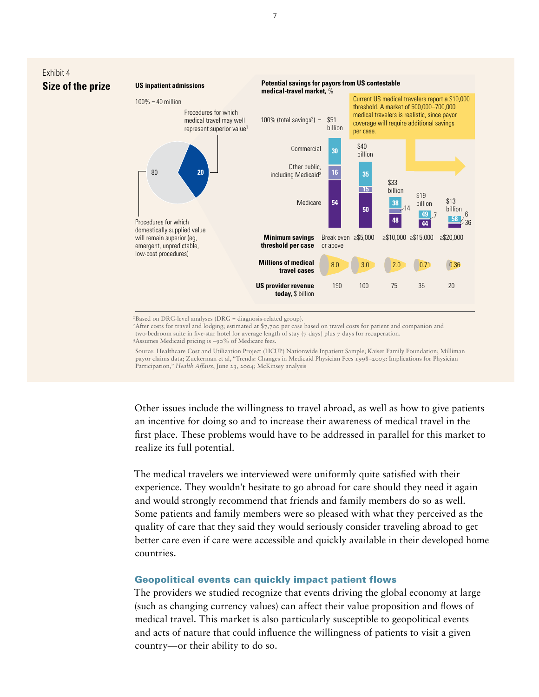

<sup>1</sup>Based on DRG-level analyses (DRG = diagnosis-related group).

<sup>2</sup>After costs for travel and lodging; estimated at \$7,700 per case based on travel costs for patient and companion and two-bedroom suite in five-star hotel for average length of stay  $(7 \text{ days})$  plus  $7 \text{ days}$  for recuperation. 3Assumes Medicaid pricing is ~90% of Medicare fees.

Exhibit 4

 Source: Healthcare Cost and Utilization Project (HCUP) Nationwide Inpatient Sample; Kaiser Family Foundation; Milliman payor claims data; Zuckerman et al, "Trends: Changes in Medicaid Physician Fees 1998–2003: Implications for Physician Participation," *Health Affairs*, June 23, 2004; McKinsey analysis

Other issues include the willingness to travel abroad, as well as how to give patients an incentive for doing so and to increase their awareness of medical travel in the first place. These problems would have to be addressed in parallel for this market to realize its full potential.

The medical travelers we interviewed were uniformly quite satisfied with their experience. They wouldn't hesitate to go abroad for care should they need it again and would strongly recommend that friends and family members do so as well. Some patients and family members were so pleased with what they perceived as the quality of care that they said they would seriously consider traveling abroad to get better care even if care were accessible and quickly available in their developed home countries.

# Geopolitical events can quickly impact patient flows

The providers we studied recognize that events driving the global economy at large (such as changing currency values) can affect their value proposition and flows of medical travel. This market is also particularly susceptible to geopolitical events and acts of nature that could influence the willingness of patients to visit a given country—or their ability to do so.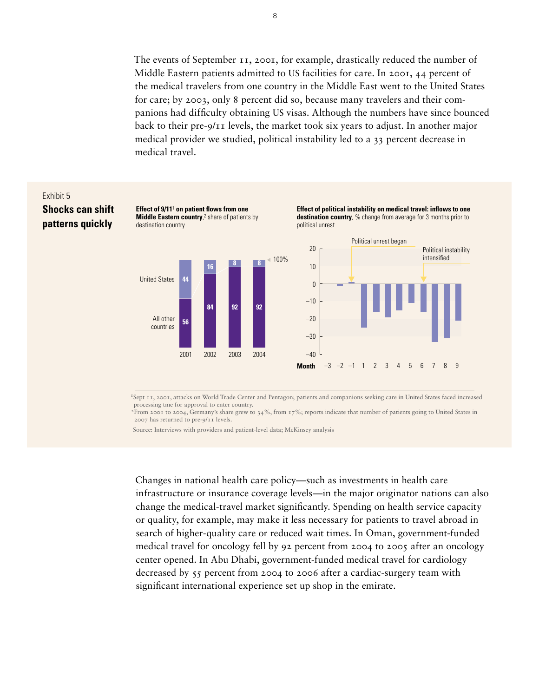The events of September 11, 2001, for example, drastically reduced the number of Middle Eastern patients admitted to US facilities for care. In 2001, 44 percent of the medical travelers from one country in the Middle East went to the United States for care; by 2003, only 8 percent did so, because many travelers and their companions had difficulty obtaining US visas. Although the numbers have since bounced back to their pre-9/11 levels, the market took six years to adjust. In another major medical provider we studied, political instability led to a 33 percent decrease in medical travel. **Medical travel**  $\mathcal{G}$  include the vents can influence a patient  $\mathcal{G}$  will be contributed to the certain countries.



1Sept 11, 2001, attacks on World Trade Center and Pentagon; patients and companions seeking care in United States faced increased processing tme for approval to enter country.

 $^{2}$ From 2001 to 2004, Germany's share grew to 34%, from 17%; reports indicate that number of patients going to United States in 2007 has returned to pre-9/11 levels.

Source: Interviews with providers and patient-level data; McKinsey analysis

Changes in national health care policy—such as investments in health care infrastructure or insurance coverage levels—in the major originator nations can also change the medical-travel market significantly. Spending on health service capacity or quality, for example, may make it less necessary for patients to travel abroad in search of higher-quality care or reduced wait times. In Oman, government-funded medical travel for oncology fell by 92 percent from 2004 to 2005 after an oncology center opened. In Abu Dhabi, government-funded medical travel for cardiology decreased by 55 percent from 2004 to 2006 after a cardiac-surgery team with significant international experience set up shop in the emirate.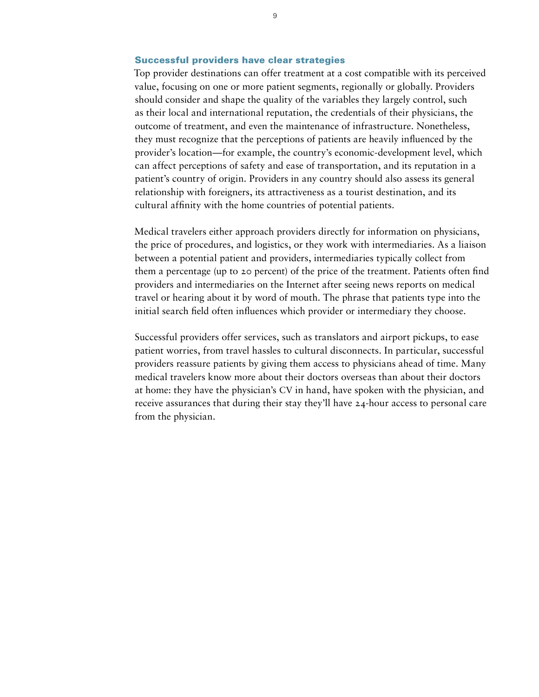### Successful providers have clear strategies

Top provider destinations can offer treatment at a cost compatible with its perceived value, focusing on one or more patient segments, regionally or globally. Providers should consider and shape the quality of the variables they largely control, such as their local and international reputation, the credentials of their physicians, the outcome of treatment, and even the maintenance of infrastructure. Nonetheless, they must recognize that the perceptions of patients are heavily influenced by the provider's location—for example, the country's economic-development level, which can affect perceptions of safety and ease of transportation, and its reputation in a patient's country of origin. Providers in any country should also assess its general relationship with foreigners, its attractiveness as a tourist destination, and its cultural affinity with the home countries of potential patients.

Medical travelers either approach providers directly for information on physicians, the price of procedures, and logistics, or they work with intermediaries. As a liaison between a potential patient and providers, intermediaries typically collect from them a percentage (up to 20 percent) of the price of the treatment. Patients often find providers and intermediaries on the Internet after seeing news reports on medical travel or hearing about it by word of mouth. The phrase that patients type into the initial search field often influences which provider or intermediary they choose.

Successful providers offer services, such as translators and airport pickups, to ease patient worries, from travel hassles to cultural disconnects. In particular, successful providers reassure patients by giving them access to physicians ahead of time. Many medical travelers know more about their doctors overseas than about their doctors at home: they have the physician's CV in hand, have spoken with the physician, and receive assurances that during their stay they'll have 24-hour access to personal care from the physician.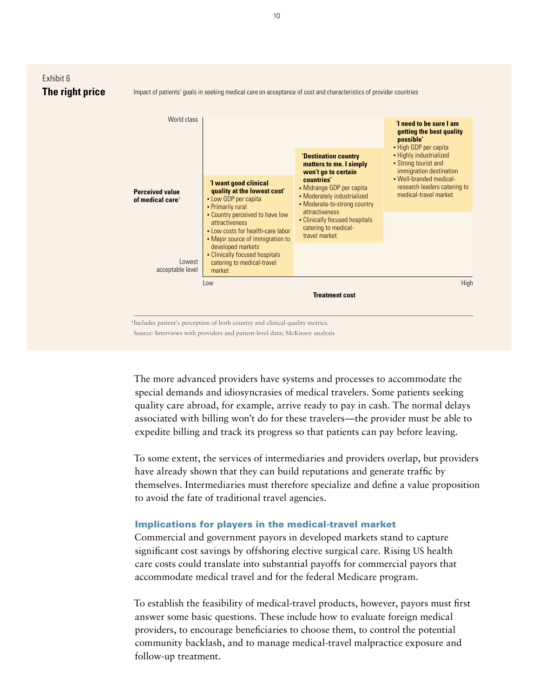

The more advanced providers have systems and processes to accommodate the special demands and idiosyncrasies of medical travelers. Some patients seeking quality care abroad, for example, arrive ready to pay in cash. The normal delays associated with billing won't do for these travelers—the provider must be able to expedite billing and track its progress so that patients can pay before leaving.

To some extent, the services of intermediaries and providers overlap, but providers have already shown that they can build reputations and generate traffic by themselves. Intermediaries must therefore specialize and define a value proposition to avoid the fate of traditional travel agencies.

# Implications for players in the medical-travel market

Commercial and government payors in developed markets stand to capture significant cost savings by offshoring elective surgical care. Rising US health care costs could translate into substantial payoffs for commercial payors that accommodate medical travel and for the federal Medicare program.

To establish the feasibility of medical-travel products, however, payors must first answer some basic questions. These include how to evaluate foreign medical providers, to encourage beneficiaries to choose them, to control the potential community backlash, and to manage medical-travel malpractice exposure and follow-up treatment.